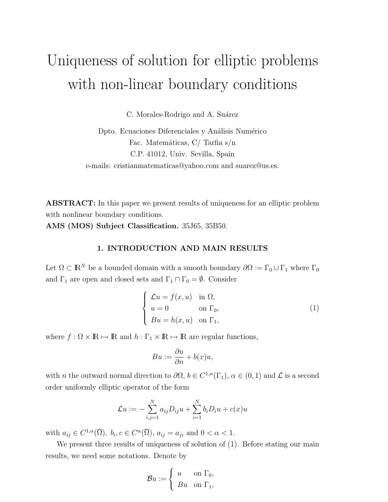# Uniqueness of solution for elliptic problems with non-linear boundary conditions

C. Morales-Rodrigo and A. Suárez

Dpto. Ecuaciones Diferenciales y Análisis Numérico Fac. Matemáticas, C/ Tarfia s/n C.P. 41012, Univ. Sevilla, Spain e-mails: cristianmatematicas@yahoo.com and suarez@us.es.

ABSTRACT: In this paper we present results of uniqueness for an elliptic problem with nonlinear boundary conditions.

AMS (MOS) Subject Classification. 35J65, 35B50.

### 1. INTRODUCTION AND MAIN RESULTS

Let  $\Omega \subset \mathbb{R}^N$  be a bounded domain with a smooth boundary  $\partial\Omega := \Gamma_0 \cup \Gamma_1$  where  $\Gamma_0$ and  $\Gamma_1$  are open and closed sets and  $\Gamma_1 \cap \Gamma_0 = \emptyset$ . Consider

$$
\begin{cases}\n\mathcal{L}u = f(x, u) & \text{in } \Omega, \\
u = 0 & \text{on } \Gamma_0, \\
Bu = h(x, u) & \text{on } \Gamma_1,\n\end{cases}
$$
\n(1)

where  $f : \Omega \times \mathbb{R} \mapsto \mathbb{R}$  and  $h : \Gamma_1 \times \mathbb{R} \mapsto \mathbb{R}$  are regular functions,

$$
Bu := \frac{\partial u}{\partial n} + b(x)u,
$$

with *n* the outward normal direction to  $\partial\Omega$ ,  $b \in C^{1,\alpha}(\Gamma_1)$ ,  $\alpha \in (0,1)$  and  $\mathcal L$  is a second order uniformly elliptic operator of the form

$$
\mathcal{L}u := -\sum_{i,j=1}^{N} a_{ij} D_{ij} u + \sum_{i=1}^{N} b_i D_i u + c(x) u
$$

with  $a_{ij} \in C^{1,\alpha}(\overline{\Omega}), b_i, c \in C^{\alpha}(\overline{\Omega}), a_{ij} = a_{ji}$  and  $0 < \alpha < 1$ .

We present three results of uniqueness of solution of (1). Before stating our main results, we need some notations. Denote by

$$
\mathcal{B}u := \begin{cases} u & \text{on } \Gamma_0, \\ Bu & \text{on } \Gamma_1, \end{cases}
$$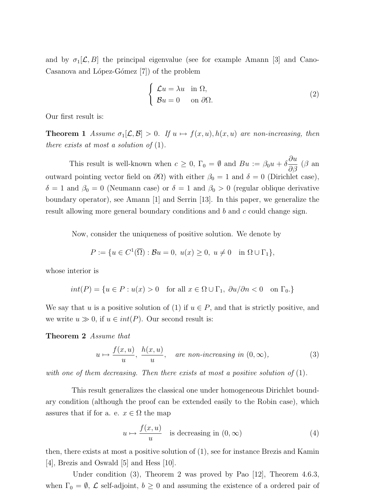and by  $\sigma_1[\mathcal{L}, B]$  the principal eigenvalue (see for example Amann [3] and Cano-Casanova and López-Gómez [7]) of the problem

$$
\begin{cases}\n\mathcal{L}u = \lambda u & \text{in } \Omega, \\
\mathcal{B}u = 0 & \text{on } \partial\Omega.\n\end{cases}
$$
\n(2)

Our first result is:

**Theorem 1** Assume  $\sigma_1[\mathcal{L}, \mathcal{B}] > 0$ . If  $u \mapsto f(x, u)$ ,  $h(x, u)$  are non-increasing, then there exists at most a solution of  $(1)$ .

This result is well-known when  $c \geq 0$ ,  $\Gamma_0 = \emptyset$  and  $Bu := \beta_0 u + \delta$ ∂u  $\frac{\partial a}{\partial \beta}$  (β an outward pointing vector field on  $\partial\Omega$ ) with either  $\beta_0 = 1$  and  $\delta = 0$  (Dirichlet case),  $\delta = 1$  and  $\beta_0 = 0$  (Neumann case) or  $\delta = 1$  and  $\beta_0 > 0$  (regular oblique derivative boundary operator), see Amann [1] and Serrin [13]. In this paper, we generalize the result allowing more general boundary conditions and b and c could change sign.

Now, consider the uniqueness of positive solution. We denote by

$$
P := \{ u \in C^1(\overline{\Omega}) : \mathcal{B}u = 0, \ u(x) \ge 0, \ u \ne 0 \quad \text{in } \Omega \cup \Gamma_1 \},
$$

whose interior is

$$
int(P) = \{ u \in P : u(x) > 0 \quad \text{for all } x \in \Omega \cup \Gamma_1, \ \partial u / \partial n < 0 \quad \text{on } \Gamma_0 \}
$$

We say that u is a positive solution of (1) if  $u \in P$ , and that is strictly positive, and we write  $u \gg 0$ , if  $u \in int(P)$ . Our second result is:

Theorem 2 Assume that

$$
u \mapsto \frac{f(x, u)}{u}, \frac{h(x, u)}{u}, \quad \text{are non-increasing in } (0, \infty), \tag{3}
$$

with one of them decreasing. Then there exists at most a positive solution of  $(1)$ .

This result generalizes the classical one under homogeneous Dirichlet boundary condition (although the proof can be extended easily to the Robin case), which assures that if for a. e.  $x \in \Omega$  the map

$$
u \mapsto \frac{f(x, u)}{u} \quad \text{is decreasing in } (0, \infty) \tag{4}
$$

then, there exists at most a positive solution of (1), see for instance Brezis and Kamin [4], Brezis and Oswald [5] and Hess [10].

Under condition (3), Theorem 2 was proved by Pao [12], Theorem 4.6.3, when  $\Gamma_0 = \emptyset$ ,  $\mathcal L$  self-adjoint,  $b \geq 0$  and assuming the existence of a ordered pair of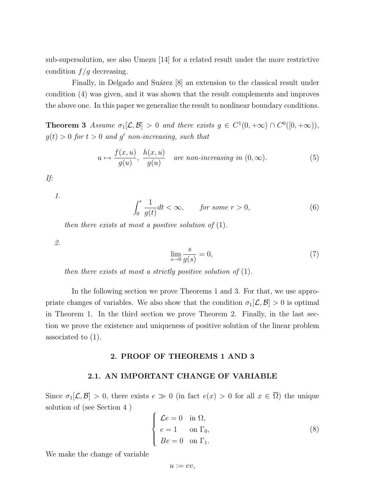sub-supersolution, see also Umezu [14] for a related result under the more restrictive condition  $f/g$  decreasing.

Finally, in Delgado and Suárez [8] an extension to the classical result under condition (4) was given, and it was shown that the result complements and improves the above one. In this paper we generalize the result to nonlinear boundary conditions.

**Theorem 3** Assume  $\sigma_1[\mathcal{L}, \mathcal{B}] > 0$  and there exists  $g \in C^1(0, +\infty) \cap C^0([0, +\infty)),$  $g(t) > 0$  for  $t > 0$  and g' non-increasing, such that

$$
u \mapsto \frac{f(x, u)}{g(u)}, \frac{h(x, u)}{g(u)} \quad \text{are non-increasing in } (0, \infty). \tag{5}
$$

If:

1.

$$
\int_0^r \frac{1}{g(t)} dt < \infty, \qquad \text{for some } r > 0,\tag{6}
$$

then there exists at most a positive solution of  $(1)$ .

2.

$$
\lim_{s \to 0} \frac{s}{g(s)} = 0,\tag{7}
$$

then there exists at most a strictly positive solution of  $(1)$ .

In the following section we prove Theorems 1 and 3. For that, we use appropriate changes of variables. We also show that the condition  $\sigma_1[\mathcal{L}, \mathcal{B}] > 0$  is optimal in Theorem 1. In the third section we prove Theorem 2. Finally, in the last section we prove the existence and uniqueness of positive solution of the linear problem associated to (1).

### 2. PROOF OF THEOREMS 1 AND 3

#### 2.1. AN IMPORTANT CHANGE OF VARIABLE

Since  $\sigma_1[\mathcal{L}, \mathcal{B}] > 0$ , there exists  $e \gg 0$  (in fact  $e(x) > 0$  for all  $x \in \overline{\Omega}$ ) the unique solution of (see Section 4 )  $\overline{a}$ 

$$
\begin{cases}\n\mathcal{L}e = 0 & \text{in } \Omega, \\
e = 1 & \text{on } \Gamma_0, \\
Be = 0 & \text{on } \Gamma_1.\n\end{cases}
$$
\n(8)

We make the change of variable

 $u := ev$ ,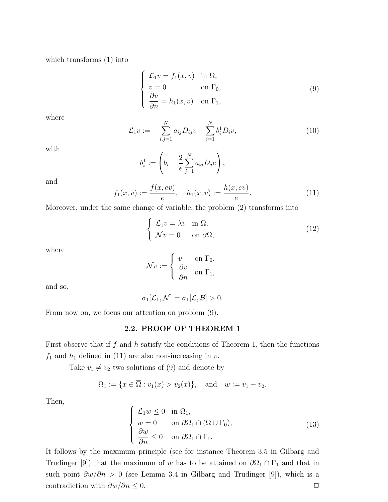which transforms (1) into

$$
\begin{cases}\n\mathcal{L}_1 v = f_1(x, v) & \text{in } \Omega, \\
v = 0 & \text{on } \Gamma_0, \\
\frac{\partial v}{\partial n} = h_1(x, v) & \text{on } \Gamma_1,\n\end{cases}
$$
\n(9)

where

$$
\mathcal{L}_1 v := -\sum_{i,j=1}^N a_{ij} D_{ij} v + \sum_{i=1}^N b_i^1 D_i v, \qquad (10)
$$

with

$$
b_i^1 := \left(b_i - \frac{2}{e} \sum_{j=1}^N a_{ij} D_j e\right),
$$

and

$$
f_1(x,v) := \frac{f(x,ev)}{e}, \quad h_1(x,v) := \frac{h(x,ev)}{e}.
$$
 (11)

Moreover, under the same change of variable, the problem (2) transforms into

$$
\begin{cases}\n\mathcal{L}_1 v = \lambda v & \text{in } \Omega, \\
\mathcal{N}v = 0 & \text{on } \partial\Omega,\n\end{cases}
$$
\n(12)

where

$$
\mathcal{N}v := \begin{cases} v & \text{on } \Gamma_0, \\ \frac{\partial v}{\partial n} & \text{on } \Gamma_1, \end{cases}
$$

and so,

$$
\sigma_1[\mathcal{L}_1,\mathcal{N}]=\sigma_1[\mathcal{L},\mathcal{B}]>0.
$$

From now on, we focus our attention on problem (9).

# 2.2. PROOF OF THEOREM 1

First observe that if  $f$  and  $h$  satisfy the conditions of Theorem 1, then the functions  $f_1$  and  $h_1$  defined in (11) are also non-increasing in  $\boldsymbol{v}.$ 

Take  $v_1 \neq v_2$  two solutions of (9) and denote by

$$
\Omega_1 := \{x \in \overline{\Omega} : v_1(x) > v_2(x)\}, \text{ and } w := v_1 - v_2.
$$

Then,

$$
\begin{cases}\n\mathcal{L}_1 w \le 0 & \text{in } \Omega_1, \\
w = 0 & \text{on } \partial \Omega_1 \cap (\Omega \cup \Gamma_0), \\
\frac{\partial w}{\partial n} \le 0 & \text{on } \partial \Omega_1 \cap \Gamma_1.\n\end{cases}
$$
\n(13)

It follows by the maximum principle (see for instance Theorem 3.5 in Gilbarg and Trudinger [9]) that the maximum of w has to be attained on  $\partial\Omega_1 \cap \Gamma_1$  and that in such point  $\partial w/\partial n > 0$  (see Lemma 3.4 in Gilbarg and Trudinger [9]), which is a contradiction with  $\partial w/\partial n \leq 0$ .  $\Box$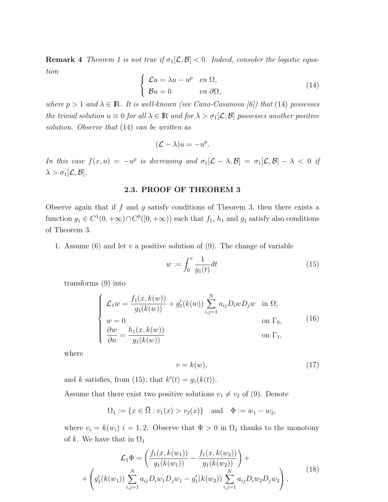**Remark 4** Theorem 1 is not true if  $\sigma_1[\mathcal{L}, \mathcal{B}] < 0$ . Indeed, consider the logistic equation  $\overline{a}$ 

$$
\begin{cases}\n\mathcal{L}u = \lambda u - u^p & \text{en } \Omega, \\
\mathcal{B}u = 0 & \text{en } \partial\Omega,\n\end{cases}
$$
\n(14)

where  $p > 1$  and  $\lambda \in \mathbb{R}$ . It is well-known (see Cano-Casanova [6]) that (14) possesses the trivial solution  $u \equiv 0$  for all  $\lambda \in \mathbb{R}$  and for  $\lambda > \sigma_1[\mathcal{L}, \mathcal{B}]$  possesses another positive solution. Observe that (14) can be written as

$$
(\mathcal{L} - \lambda)u = -u^p.
$$

In this case  $f(x, u) = -u^p$  is decreasing and  $\sigma_1[\mathcal{L} - \lambda, \mathcal{B}] = \sigma_1[\mathcal{L}, \mathcal{B}] - \lambda < 0$  if  $\lambda > \sigma_1[\mathcal{L}, \mathcal{B}].$ 

### 2.3. PROOF OF THEOREM 3

Observe again that if f and g satisfy conditions of Theorem 3, then there exists a function  $g_1 \in C^1(0, +\infty) \cap C^0([0, +\infty))$  such that  $f_1$ ,  $h_1$  and  $g_1$  satisfy also conditions of Theorem 3.

1. Assume (6) and let v a positive solution of (9). The change of variable

$$
w := \int_0^v \frac{1}{g_1(t)} dt
$$
\n(15)

transforms (9) into

$$
\begin{cases}\n\mathcal{L}_1 w = \frac{f_1(x, k(w))}{g_1(k(w))} + g'_1(k(w)) \sum_{i,j=1}^N a_{ij} D_i w D_j w & \text{in } \Omega, \\
w = 0 & \text{on } \Gamma_0, \\
\frac{\partial w}{\partial n} = \frac{h_1(x, k(w))}{g_1(k(w))} & \text{on } \Gamma_1,\n\end{cases}
$$
\n(16)

where

$$
v = k(w),\tag{17}
$$

and k satisfies, from (15), that  $k'(t) = g_1(k(t))$ .

Assume that there exist two positive solutions  $v_1 \neq v_2$  of (9). Denote

$$
\Omega_1 := \{x \in \overline{\Omega} : v_1(x) > v_2(x)\}\
$$
 and  $\Phi := w_1 - w_2$ ,

where  $v_i = k(w_i)$  i = 1, 2. Observe that  $\Phi > 0$  in  $\Omega_1$  thanks to the monotony of k. We have that in  $\Omega_1$ 

$$
\mathcal{L}_1 \Phi = \left( \frac{f_1(x, k(w_1))}{g_1(k(w_1))} - \frac{f_1(x, k(w_2))}{g_1(k(w_2))} \right) +
$$
  
+ 
$$
\left( g'_1(k(w_1)) \sum_{i,j=1}^N a_{ij} D_i w_1 D_j w_1 - g'_1(k(w_2)) \sum_{i,j=1}^N a_{ij} D_i w_2 D_j w_2 \right),
$$
(18)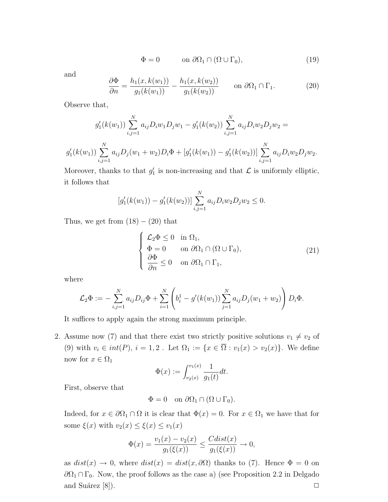$$
\Phi = 0 \qquad \text{on } \partial \Omega_1 \cap (\Omega \cup \Gamma_0), \tag{19}
$$

and

$$
\frac{\partial \Phi}{\partial n} = \frac{h_1(x, k(w_1))}{g_1(k(w_1))} - \frac{h_1(x, k(w_2))}{g_1(k(w_2))} \qquad \text{on } \partial \Omega_1 \cap \Gamma_1. \tag{20}
$$

Observe that,

$$
g'_1(k(w_1)) \sum_{i,j=1}^N a_{ij} D_i w_1 D_j w_1 - g'_1(k(w_2)) \sum_{i,j=1}^N a_{ij} D_i w_2 D_j w_2 =
$$
  

$$
g'_1(k(w_1)) \sum_{i,j=1}^N a_{ij} D_j(w_1 + w_2) D_i \Phi + [g'_1(k(w_1)) - g'_1(k(w_2))] \sum_{i,j=1}^N a_{ij} D_i w_2 D_j w_2.
$$

Moreover, thanks to that  $g'_1$  is non-increasing and that  $\mathcal L$  is uniformly elliptic, it follows that

$$
[g'_1(k(w_1)) - g'_1(k(w_2))] \sum_{i,j=1}^N a_{ij} D_i w_2 D_j w_2 \le 0.
$$

Thus, we get from  $(18) - (20)$  that

$$
\begin{cases}\n\mathcal{L}_2 \Phi \le 0 & \text{in } \Omega_1, \\
\Phi = 0 & \text{on } \partial \Omega_1 \cap (\Omega \cup \Gamma_0), \\
\frac{\partial \Phi}{\partial n} \le 0 & \text{on } \partial \Omega_1 \cap \Gamma_1,\n\end{cases}
$$
\n(21)

where

$$
\mathcal{L}_2 \Phi := - \sum_{i,j=1}^N a_{ij} D_{ij} \Phi + \sum_{i=1}^N \left( b_i^1 - g'(k(w_1)) \sum_{j=1}^N a_{ij} D_j(w_1 + w_2) \right) D_i \Phi.
$$

It suffices to apply again the strong maximum principle.

2. Assume now (7) and that there exist two strictly positive solutions  $v_1 \neq v_2$  of (9) with  $v_i \in int(P)$ ,  $i = 1, 2$ . Let  $\Omega_1 := \{x \in \overline{\Omega} : v_1(x) > v_2(x)\}$ . We define now for  $x \in \Omega_1$ 

$$
\Phi(x) := \int_{v_2(x)}^{v_1(x)} \frac{1}{g_1(t)} dt.
$$

First, observe that

$$
\Phi = 0 \quad \text{on } \partial \Omega_1 \cap (\Omega \cup \Gamma_0).
$$

Indeed, for  $x \in \partial \Omega_1 \cap \Omega$  it is clear that  $\Phi(x) = 0$ . For  $x \in \Omega_1$  we have that for some  $\xi(x)$  with  $v_2(x) \leq \xi(x) \leq v_1(x)$ 

$$
\Phi(x) = \frac{v_1(x) - v_2(x)}{g_1(\xi(x))} \le \frac{Cdist(x)}{g_1(\xi(x))} \to 0,
$$

as  $dist(x) \to 0$ , where  $dist(x) = dist(x, \partial \Omega)$  thanks to (7). Hence  $\Phi = 0$  on  $\partial\Omega_1 \cap \Gamma_0$ . Now, the proof follows as the case a) (see Proposition 2.2 in Delgado and Suárez [8]).  $\Box$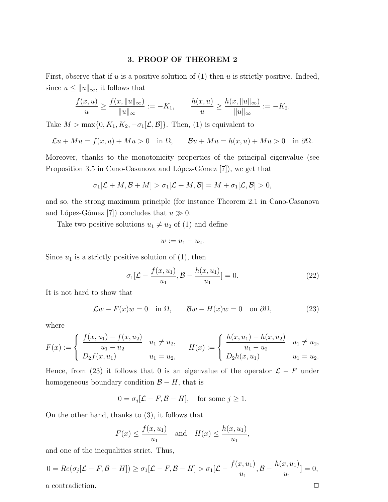# 3. PROOF OF THEOREM 2

First, observe that if u is a positive solution of  $(1)$  then u is strictly positive. Indeed, since  $u \leq ||u||_{\infty}$ , it follows that

$$
\frac{f(x,u)}{u} \ge \frac{f(x, \|u\|_{\infty})}{\|u\|_{\infty}} := -K_1, \qquad \frac{h(x,u)}{u} \ge \frac{h(x, \|u\|_{\infty})}{\|u\|_{\infty}} := -K_2.
$$

Take  $M > \max\{0, K_1, K_2, -\sigma_1[\mathcal{L}, \mathcal{B}]\}.$  Then, (1) is equivalent to

$$
\mathcal{L}u + Mu = f(x, u) + Mu > 0 \quad \text{in } \Omega, \qquad \mathcal{B}u + Mu = h(x, u) + Mu > 0 \quad \text{in } \partial\Omega.
$$

Moreover, thanks to the monotonicity properties of the principal eigenvalue (see Proposition 3.5 in Cano-Casanova and López-Gómez  $[7]$ , we get that

$$
\sigma_1[\mathcal{L}+M,\mathcal{B}+M] > \sigma_1[\mathcal{L}+M,\mathcal{B}] = M + \sigma_1[\mathcal{L},\mathcal{B}] > 0,
$$

and so, the strong maximum principle (for instance Theorem 2.1 in Cano-Casanova and López-Gómez [7]) concludes that  $u \gg 0$ .

Take two positive solutions  $u_1 \neq u_2$  of (1) and define

$$
w:=u_1-u_2.
$$

Since  $u_1$  is a strictly positive solution of  $(1)$ , then

$$
\sigma_1[\mathcal{L} - \frac{f(x, u_1)}{u_1}, \mathcal{B} - \frac{h(x, u_1)}{u_1}] = 0.
$$
 (22)

It is not hard to show that

$$
\mathcal{L}w - F(x)w = 0 \quad \text{in } \Omega, \qquad \mathcal{B}w - H(x)w = 0 \quad \text{on } \partial\Omega,\tag{23}
$$

where

$$
F(x) := \begin{cases} \frac{f(x, u_1) - f(x, u_2)}{u_1 - u_2} & u_1 \neq u_2, \\ D_2 f(x, u_1) & u_1 = u_2, \end{cases} \quad H(x) := \begin{cases} \frac{h(x, u_1) - h(x, u_2)}{u_1 - u_2} & u_1 \neq u_2, \\ D_2 h(x, u_1) & u_1 = u_2. \end{cases}
$$

Hence, from (23) it follows that 0 is an eigenvalue of the operator  $\mathcal{L} - F$  under homogeneous boundary condition  $\mathcal{B} - H$ , that is

$$
0 = \sigma_j[\mathcal{L} - F, \mathcal{B} - H], \quad \text{for some } j \ge 1.
$$

On the other hand, thanks to (3), it follows that

$$
F(x) \le \frac{f(x, u_1)}{u_1}
$$
 and  $H(x) \le \frac{h(x, u_1)}{u_1}$ ,

and one of the inequalities strict. Thus,

$$
0 = Re(\sigma_j[\mathcal{L} - F, \mathcal{B} - H]) \ge \sigma_1[\mathcal{L} - F, \mathcal{B} - H] > \sigma_1[\mathcal{L} - \frac{f(x, u_1)}{u_1}, \mathcal{B} - \frac{h(x, u_1)}{u_1}] = 0,
$$
  
a contradiction.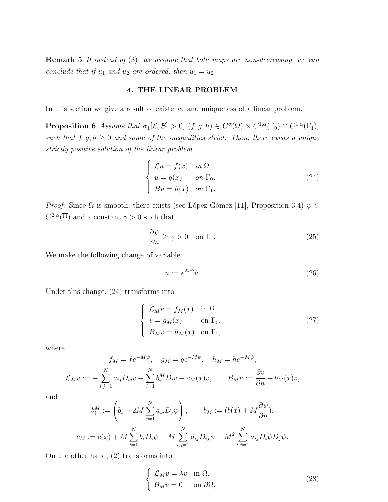Remark 5 If instead of (3), we assume that both maps are non-decreasing, we can conclude that if  $u_1$  and  $u_2$  are ordered, then  $u_1 = u_2$ .

#### 4. THE LINEAR PROBLEM

In this section we give a result of existence and uniqueness of a linear problem.

**Proposition 6** Assume that  $\sigma_1[\mathcal{L}, \mathcal{B}] > 0$ ,  $(f, g, h) \in C^{\alpha}(\overline{\Omega}) \times C^{1,\alpha}(\Gamma_0) \times C^{1,\alpha}(\Gamma_1)$ , such that  $f, g, h \geq 0$  and some of the inequalities strict. Then, there exists a unique strictly positive solution of the linear problem

$$
\begin{cases}\n\mathcal{L}u = f(x) & \text{in } \Omega, \\
u = g(x) & \text{on } \Gamma_0, \\
Bu = h(x) & \text{on } \Gamma_1.\n\end{cases}
$$
\n(24)

*Proof:* Since  $\Omega$  is smooth, there exists (see López-Gómez [11], Proposition 3.4)  $\psi \in$  $C^{2,\alpha}(\overline{\Omega})$  and a constant  $\gamma > 0$  such that

$$
\frac{\partial \psi}{\partial n} \ge \gamma > 0 \quad \text{on } \Gamma_1. \tag{25}
$$

We make the following change of variable

$$
u := e^{M\psi}v.\tag{26}
$$

Under this change, (24) transforms into

$$
\begin{cases}\n\mathcal{L}_M v = f_M(x) & \text{in } \Omega, \\
v = g_M(x) & \text{on } \Gamma_0, \\
B_M v = h_M(x) & \text{on } \Gamma_1,\n\end{cases}
$$
\n(27)

where

$$
f_M = fe^{-M\psi}, \quad g_M = ge^{-M\psi}, \quad h_M = he^{-M\psi},
$$

$$
\mathcal{L}_M v := -\sum_{i,j=1}^N a_{ij} D_{ij} v + \sum_{i=1}^N b_i^M D_i v + c_M(x) v, \qquad B_M v := \frac{\partial v}{\partial n} + b_M(x) v,
$$

and

$$
b_i^M := \left(b_i - 2M \sum_{j=1}^N a_{ij} D_j \psi\right), \qquad b_M := (b(x) + M \frac{\partial \psi}{\partial n}),
$$
  

$$
c_M := c(x) + M \sum_{i=1}^N b_i D_i \psi - M \sum_{i,j=1}^N a_{ij} D_{ij} \psi - M^2 \sum_{i,j=1}^N a_{ij} D_i \psi D_j \psi.
$$

On the other hand, (2) transforms into

$$
\begin{cases}\n\mathcal{L}_M v = \lambda v & \text{in } \Omega, \\
\mathcal{B}_M v = 0 & \text{on } \partial\Omega,\n\end{cases}
$$
\n(28)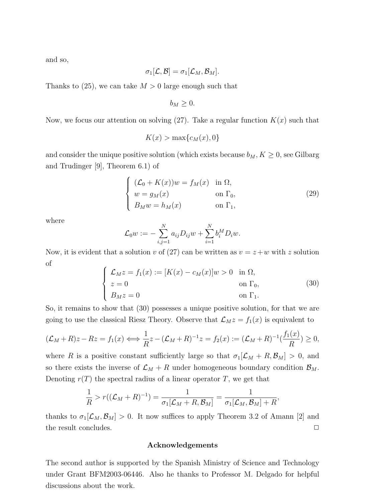and so,

$$
\sigma_1[\mathcal{L}, \mathcal{B}] = \sigma_1[\mathcal{L}_M, \mathcal{B}_M].
$$

Thanks to  $(25)$ , we can take  $M > 0$  large enough such that

$$
b_M\geq 0.
$$

Now, we focus our attention on solving  $(27)$ . Take a regular function  $K(x)$  such that

$$
K(x) > \max\{c_M(x), 0\}
$$

and consider the unique positive solution (which exists because  $b_M$ ,  $K \geq 0$ , see Gilbarg and Trudinger [9], Theorem 6.1) of

$$
\begin{cases}\n(\mathcal{L}_0 + K(x))w = f_M(x) & \text{in } \Omega, \\
w = g_M(x) & \text{on } \Gamma_0, \\
B_M w = h_M(x) & \text{on } \Gamma_1,\n\end{cases}
$$
\n(29)

where

$$
\mathcal{L}_0 w := - \sum_{i,j=1}^N a_{ij} D_{ij} w + \sum_{i=1}^N b_i^M D_i w.
$$

Now, it is evident that a solution v of (27) can be written as  $v = z + w$  with z solution of  $\overline{a}$ 

$$
\begin{cases}\n\mathcal{L}_M z = f_1(x) := [K(x) - c_M(x)]w > 0 & \text{in } \Omega, \\
z = 0 & \text{on } \Gamma_0, \\
B_M z = 0 & \text{on } \Gamma_1.\n\end{cases}
$$
\n(30)

So, it remains to show that (30) possesses a unique positive solution, for that we are going to use the classical Riesz Theory. Observe that  $\mathcal{L}_M z = f_1(x)$  is equivalent to

$$
(\mathcal{L}_M + R)z - Rz = f_1(x) \Longleftrightarrow \frac{1}{R}z - (\mathcal{L}_M + R)^{-1}z = f_2(x) := (\mathcal{L}_M + R)^{-1}(\frac{f_1(x)}{R}) \ge 0,
$$

where R is a positive constant sufficiently large so that  $\sigma_1[\mathcal{L}_M + R, \mathcal{B}_M] > 0$ , and so there exists the inverse of  $\mathcal{L}_M + R$  under homogeneous boundary condition  $\mathcal{B}_M$ . Denoting  $r(T)$  the spectral radius of a linear operator T, we get that

$$
\frac{1}{R} > r((\mathcal{L}_M + R)^{-1}) = \frac{1}{\sigma_1[\mathcal{L}_M + R, \mathcal{B}_M]} = \frac{1}{\sigma_1[\mathcal{L}_M, \mathcal{B}_M] + R},
$$

thanks to  $\sigma_1[\mathcal{L}_M, \mathcal{B}_M] > 0$ . It now suffices to apply Theorem 3.2 of Amann [2] and the result concludes.  $\Box$ 

#### Acknowledgements

The second author is supported by the Spanish Ministry of Science and Technology under Grant BFM2003-06446. Also he thanks to Professor M. Delgado for helpful discussions about the work.